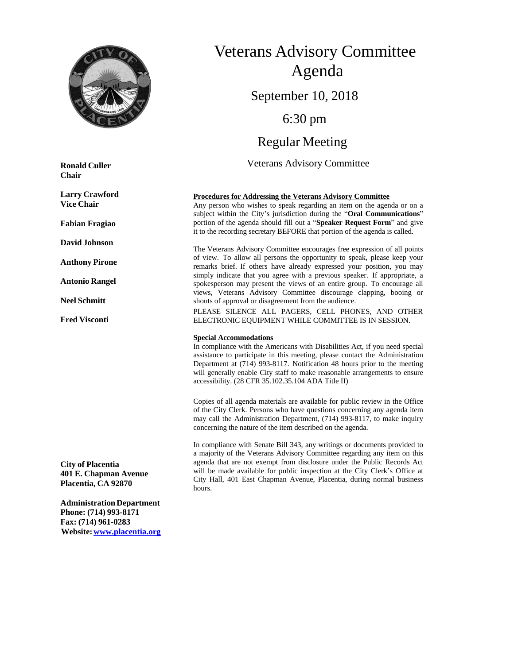

**Ronald Culler Chair**

**Larry Crawford Vice Chair**

**Fabian Fragiao**

**DavidJohnson**

**Anthony Pirone**

**Antonio Rangel**

**Neel Schmitt**

**Fred Visconti**

**City of Placentia 401 E. Chapman Avenue Placentia, CA 92870**

**AdministrationDepartment Phone: (714) 993-8171 Fax: (714) 961-0283 Website:[www.placentia.org](http://www.placentia.org/)**

# Veterans Advisory Committee Agenda September 10, 2018 6:30 pm Regular Meeting Veterans Advisory Committee

#### **Procedures for Addressing the Veterans Advisory Committee**

Any person who wishes to speak regarding an item on the agenda or on a subject within the City's jurisdiction during the "**Oral Communications**" portion of the agenda should fill out a "**Speaker Request Form**" and give it to the recording secretary BEFORE that portion of the agenda is called.

The Veterans Advisory Committee encourages free expression of all points of view. To allow all persons the opportunity to speak, please keep your remarks brief. If others have already expressed your position, you may simply indicate that you agree with a previous speaker. If appropriate, a spokesperson may present the views of an entire group. To encourage all views, Veterans Advisory Committee discourage clapping, booing or shouts of approval or disagreement from the audience.

PLEASE SILENCE ALL PAGERS, CELL PHONES, AND OTHER ELECTRONIC EQUIPMENT WHILE COMMITTEE IS IN SESSION.

#### **Special Accommodations**

In compliance with the Americans with Disabilities Act, if you need special assistance to participate in this meeting, please contact the Administration Department at (714) 993-8117. Notification 48 hours prior to the meeting will generally enable City staff to make reasonable arrangements to ensure accessibility. (28 CFR 35.102.35.104 ADA Title II)

Copies of all agenda materials are available for public review in the Office of the City Clerk. Persons who have questions concerning any agenda item may call the Administration Department, (714) 993-8117, to make inquiry concerning the nature of the item described on the agenda.

In compliance with Senate Bill 343, any writings or documents provided to a majority of the Veterans Advisory Committee regarding any item on this agenda that are not exempt from disclosure under the Public Records Act will be made available for public inspection at the City Clerk's Office at City Hall, 401 East Chapman Avenue, Placentia, during normal business hours.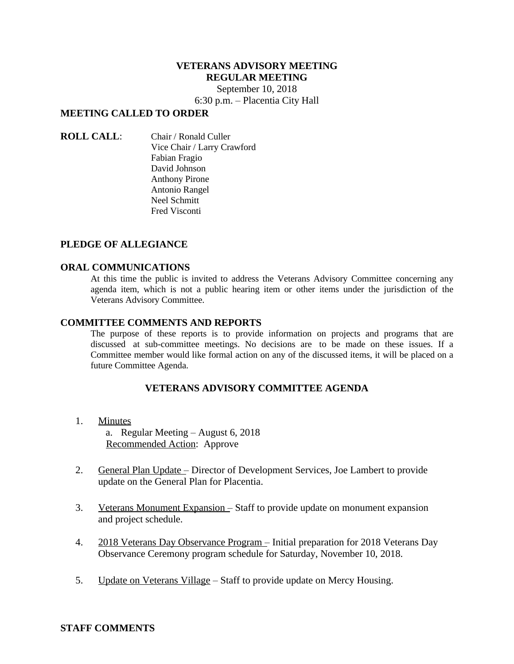# **VETERANS ADVISORY MEETING REGULAR MEETING**

September 10, 2018

6:30 p.m. – Placentia City Hall

# **MEETING CALLED TO ORDER**

**ROLL CALL**: Chair / Ronald Culler Vice Chair / Larry Crawford Fabian Fragio David Johnson Anthony Pirone Antonio Rangel Neel Schmitt Fred Visconti

# **PLEDGE OF ALLEGIANCE**

### **ORAL COMMUNICATIONS**

At this time the public is invited to address the Veterans Advisory Committee concerning any agenda item, which is not a public hearing item or other items under the jurisdiction of the Veterans Advisory Committee.

### **COMMITTEE COMMENTS AND REPORTS**

The purpose of these reports is to provide information on projects and programs that are discussed at sub-committee meetings. No decisions are to be made on these issues. If a Committee member would like formal action on any of the discussed items, it will be placed on a future Committee Agenda.

# **VETERANS ADVISORY COMMITTEE AGENDA**

1. Minutes

a. Regular Meeting – August 6, 2018 Recommended Action: Approve

- 2. General Plan Update Director of Development Services, Joe Lambert to provide update on the General Plan for Placentia.
- 3. Veterans Monument Expansion Staff to provide update on monument expansion and project schedule.
- 4. 2018 Veterans Day Observance Program Initial preparation for 2018 Veterans Day Observance Ceremony program schedule for Saturday, November 10, 2018.
- 5. Update on Veterans Village Staff to provide update on Mercy Housing.